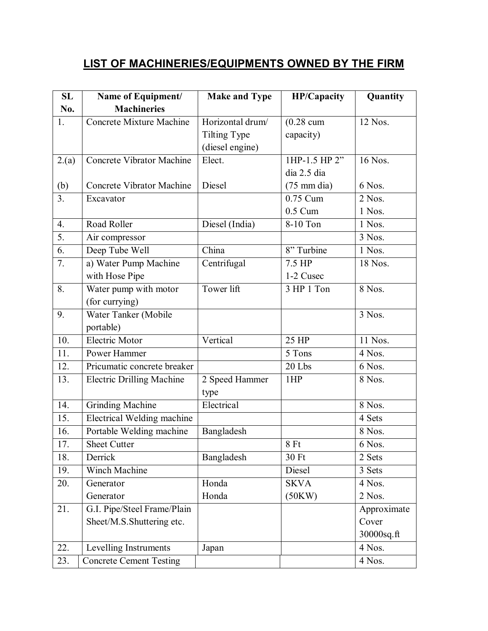## **LIST OF MACHINERIES/EQUIPMENTS OWNED BY THE FIRM**

| SL             | Name of Equipment/                | <b>Make and Type</b> | <b>HP/Capacity</b>    | Quantity    |
|----------------|-----------------------------------|----------------------|-----------------------|-------------|
| No.            | <b>Machineries</b>                |                      |                       |             |
| 1.             | <b>Concrete Mixture Machine</b>   | Horizontal drum/     | $(0.28 \text{ cum})$  | 12 Nos.     |
|                |                                   | Tilting Type         | capacity)             |             |
|                |                                   | (diesel engine)      |                       |             |
| 2.(a)          | Concrete Vibrator Machine         | Elect.               | 1HP-1.5 HP 2"         | 16 Nos.     |
|                |                                   |                      | dia 2.5 dia           |             |
| (b)            | Concrete Vibrator Machine         | Diesel               | $(75 \text{ mm dia})$ | 6 Nos.      |
| 3 <sub>1</sub> | Excavator                         |                      | 0.75 Cum              | 2 Nos.      |
|                |                                   |                      | $0.5$ Cum             | 1 Nos.      |
| 4.             | Road Roller                       | Diesel (India)       | 8-10 Ton              | 1 Nos.      |
| 5.             | Air compressor                    |                      |                       | 3 Nos.      |
| 6.             | Deep Tube Well                    | China                | 8" Turbine            | 1 Nos.      |
| 7.             | a) Water Pump Machine             | Centrifugal          | 7.5 HP                | 18 Nos.     |
|                | with Hose Pipe                    |                      | 1-2 Cusec             |             |
| 8.             | Water pump with motor             | Tower lift           | 3 HP 1 Ton            | 8 Nos.      |
|                | (for currying)                    |                      |                       |             |
| 9.             | Water Tanker (Mobile              |                      |                       | 3 Nos.      |
|                | portable)                         |                      |                       |             |
| 10.            | <b>Electric Motor</b>             | Vertical             | 25 HP                 | 11 Nos.     |
| 11.            | Power Hammer                      |                      | 5 Tons                | 4 Nos.      |
| 12.            | Pricumatic concrete breaker       |                      | 20 Lbs                | 6 Nos.      |
| 13.            | <b>Electric Drilling Machine</b>  | 2 Speed Hammer       | 1HP                   | 8 Nos.      |
|                |                                   | type                 |                       |             |
| 14.            | <b>Grinding Machine</b>           | Electrical           |                       | 8 Nos.      |
| 15.            | <b>Electrical Welding machine</b> |                      |                       | 4 Sets      |
| 16.            | Portable Welding machine          | Bangladesh           |                       | 8 Nos.      |
| 17.            | <b>Sheet Cutter</b>               |                      | 8Ft                   | 6 Nos.      |
| 18.            | Derrick                           | Bangladesh           | 30 Ft                 | 2 Sets      |
| 19.            | Winch Machine                     |                      | Diesel                | 3 Sets      |
| 20.            | Generator                         | Honda                | <b>SKVA</b>           | 4 Nos.      |
|                | Generator                         | Honda                | (50KW)                | 2 Nos.      |
| 21.            | G.I. Pipe/Steel Frame/Plain       |                      |                       | Approximate |
|                | Sheet/M.S.Shuttering etc.         |                      |                       | Cover       |
|                |                                   |                      |                       | 30000sq.ft  |
| 22.            | Levelling Instruments             | Japan                |                       | 4 Nos.      |
| 23.            | <b>Concrete Cement Testing</b>    |                      |                       | 4 Nos.      |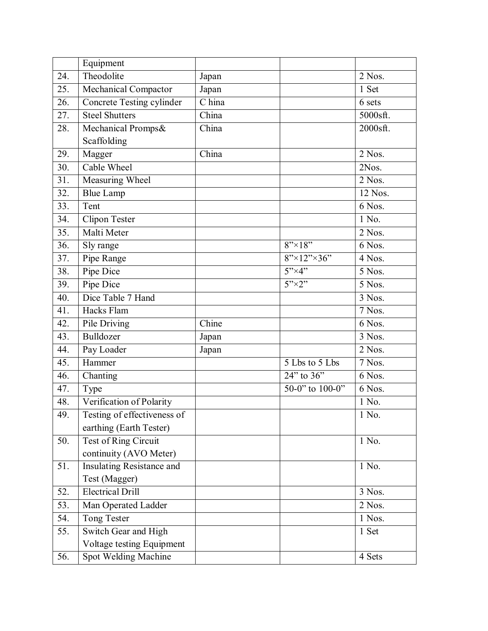|     | Equipment                   |        |                                        |          |
|-----|-----------------------------|--------|----------------------------------------|----------|
| 24. | Theodolite                  | Japan  |                                        | 2 Nos.   |
| 25. | Mechanical Compactor        | Japan  |                                        | 1 Set    |
| 26. | Concrete Testing cylinder   | C hina |                                        | 6 sets   |
| 27. | <b>Steel Shutters</b>       | China  |                                        | 5000sft. |
| 28. | Mechanical Promps&          | China  |                                        | 2000sft. |
|     | Scaffolding                 |        |                                        |          |
| 29. | Magger                      | China  |                                        | 2 Nos.   |
| 30. | Cable Wheel                 |        |                                        | 2Nos.    |
| 31. | Measuring Wheel             |        |                                        | 2 Nos.   |
| 32. | <b>Blue Lamp</b>            |        |                                        | 12 Nos.  |
| 33. | Tent                        |        |                                        | 6 Nos.   |
| 34. | <b>Clipon Tester</b>        |        |                                        | 1 No.    |
| 35. | Malti Meter                 |        |                                        | $2$ Nos. |
| 36. | Sly range                   |        | $8" \times 18"$                        | 6 Nos.   |
| 37. | Pipe Range                  |        | $8" \times 12" \times 36"$             | 4 Nos.   |
| 38. | Pipe Dice                   |        | $5" \times 4"$                         | 5 Nos.   |
| 39. | Pipe Dice                   |        | $5" \times 2"$                         | 5 Nos.   |
| 40. | Dice Table 7 Hand           |        |                                        | 3 Nos.   |
| 41. | Hacks Flam                  |        |                                        | 7 Nos.   |
| 42. | Pile Driving                | Chine  |                                        | 6 Nos.   |
| 43. | Bulldozer                   | Japan  |                                        | 3 Nos.   |
| 44. | Pay Loader                  | Japan  |                                        | 2 Nos.   |
| 45. | Hammer                      |        | 5 Lbs to 5 Lbs                         | 7 Nos.   |
| 46. | Chanting                    |        | $\overline{24}$ " to $\overline{36}$ " | 6 Nos.   |
| 47. | Type                        |        | 50-0" to 100-0"                        | 6 Nos.   |
| 48. | Verification of Polarity    |        |                                        | 1 No.    |
| 49. | Testing of effectiveness of |        |                                        | 1 No.    |
|     | earthing (Earth Tester)     |        |                                        |          |
| 50. | Test of Ring Circuit        |        |                                        | 1 No.    |
|     | continuity (AVO Meter)      |        |                                        |          |
| 51. | Insulating Resistance and   |        |                                        | 1 No.    |
|     | Test (Magger)               |        |                                        |          |
| 52. | <b>Electrical Drill</b>     |        |                                        | 3 Nos.   |
| 53. | Man Operated Ladder         |        |                                        | 2 Nos.   |
| 54. | Tong Tester                 |        |                                        | 1 Nos.   |
| 55. | Switch Gear and High        |        |                                        | 1 Set    |
|     | Voltage testing Equipment   |        |                                        |          |
| 56. | Spot Welding Machine        |        |                                        | 4 Sets   |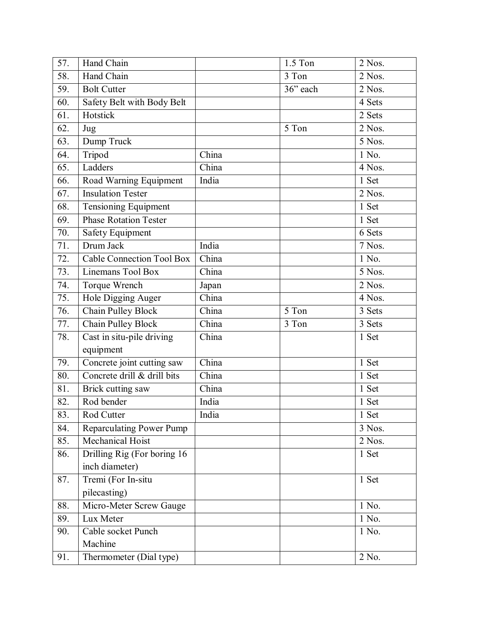| 57. | Hand Chain                       |       | 1.5 Ton              | 2 Nos. |
|-----|----------------------------------|-------|----------------------|--------|
| 58. | Hand Chain                       |       | 3 Ton                | 2 Nos. |
| 59. | <b>Bolt Cutter</b>               |       | $\overline{36}$ each | 2 Nos. |
| 60. | Safety Belt with Body Belt       |       |                      | 4 Sets |
| 61. | Hotstick                         |       |                      | 2 Sets |
| 62. | Jug                              |       | 5 Ton                | 2 Nos. |
| 63. | Dump Truck                       |       |                      | 5 Nos. |
| 64. | Tripod                           | China |                      | 1 No.  |
| 65. | Ladders                          | China |                      | 4 Nos. |
| 66. | Road Warning Equipment           | India |                      | 1 Set  |
| 67. | <b>Insulation Tester</b>         |       |                      | 2 Nos. |
| 68. | Tensioning Equipment             |       |                      | 1 Set  |
| 69. | Phase Rotation Tester            |       |                      | 1 Set  |
| 70. | <b>Safety Equipment</b>          |       |                      | 6 Sets |
| 71. | Drum Jack                        | India |                      | 7 Nos. |
| 72. | <b>Cable Connection Tool Box</b> | China |                      | 1 No.  |
| 73. | Linemans Tool Box                | China |                      | 5 Nos. |
| 74. | Torque Wrench                    | Japan |                      | 2 Nos. |
| 75. | Hole Digging Auger               | China |                      | 4 Nos. |
| 76. | Chain Pulley Block               | China | 5 Ton                | 3 Sets |
| 77. | Chain Pulley Block               | China | 3 Ton                | 3 Sets |
| 78. | Cast in situ-pile driving        | China |                      | 1 Set  |
|     | equipment                        |       |                      |        |
| 79. | Concrete joint cutting saw       | China |                      | 1 Set  |
| 80. | Concrete drill & drill bits      | China |                      | 1 Set  |
| 81. | Brick cutting saw                | China |                      | 1 Set  |
| 82. | Rod bender                       | India |                      | 1 Set  |
| 83. | Rod Cutter                       | India |                      | 1 Set  |
| 84. | <b>Reparculating Power Pump</b>  |       |                      | 3 Nos. |
| 85. | Mechanical Hoist                 |       |                      | 2 Nos. |
| 86. | Drilling Rig (For boring 16      |       |                      | 1 Set  |
|     | inch diameter)                   |       |                      |        |
| 87. | Tremi (For In-situ               |       |                      | 1 Set  |
|     | pilecasting)                     |       |                      |        |
| 88. | Micro-Meter Screw Gauge          |       |                      | 1 No.  |
| 89. | Lux Meter                        |       |                      | 1 No.  |
| 90. | Cable socket Punch               |       |                      | 1 No.  |
|     | Machine                          |       |                      |        |
| 91. | Thermometer (Dial type)          |       |                      | 2 No.  |